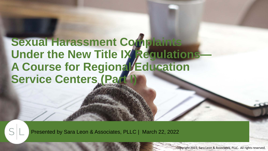# **Sexual Harassment Complaints**  Under the New Title IX Regulations A Course for Regional **Education Service Centers (Part**

Presented by Sara Leon & Associates, PLLC | March 22, 2022

Copyright 2022, Sara Leon & Associates, PLLC. All rights reserved.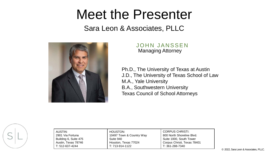# Meet the Presenter

### Sara Leon & Associates, PLLC



#### JOHN JANSSEN Managing Attorney

Ph.D., The University of Texas at Austin J.D., The University of Texas School of Law M.A., Yale University B.A., Southwestern University Texas Council of School Attorneys



| AUSTIN:               |
|-----------------------|
| 2901 Via Fortuna      |
| Building 6, Suite 475 |
| Austin, Texas 78746   |
| $T: 512-637-4244$     |

HOUSTON: 10497 Town & Country Way Suite 940 Houston, Texas 77024 T: 713-914-1122

CORPUS CHRISTI: 800 North Shoreline Blvd. Suite 1000, South Tower Corpus Christi, Texas 78401 T: 361-288-7340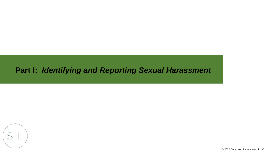## **Part I:** *Identifying and Reporting Sexual Harassment*



© 2022, Sara Leon & Associates, PLLC.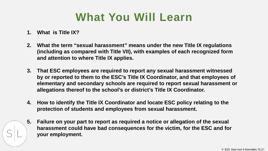# **What You Will Learn**

- **1. What is Title IX?**
- **2. What the term "sexual harassment***"* **means under the new Title IX regulations (including as compared with Title VII), with examples of each recognized form and attention to where Title IX applies.**
- **3. That ESC employees are required to report any sexual harassment witnessed by or reported to them to the ESC's Title IX Coordinator, and that employees of elementary and secondary schools are required to report sexual harassment or allegations thereof to the school's or district's Title IX Coordinator.**
- **4. How to identify the Title IX Coordinator and locate ESC policy relating to the protection of students and employees from sexual harassment.**
- **5. Failure on your part to report as required a notice or allegation of the sexual harassment could have bad consequences for the victim, for the ESC and for your employment.**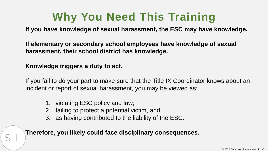# **Why You Need This Training**

**If you have knowledge of sexual harassment, the ESC may have knowledge.**

**If elementary or secondary school employees have knowledge of sexual harassment, their school district has knowledge.**

**Knowledge triggers a duty to act.**

If you fail to do your part to make sure that the Title IX Coordinator knows about an incident or report of sexual harassment, you may be viewed as:

- 1. violating ESC policy and law;
- 2. failing to protect a potential victim, and
- 3. as having contributed to the liability of the ESC.

**Therefore, you likely could face disciplinary consequences.**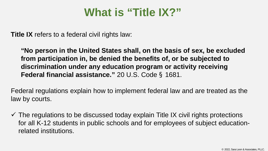## **What is "Title IX?"**

**Title IX** refers to a federal civil rights law:

**"No person in the United States shall, on the basis of sex, be excluded from participation in, be denied the benefits of, or be subjected to discrimination under any education program or activity receiving Federal financial assistance."** 20 U.S. Code § 1681.

Federal regulations explain how to implement federal law and are treated as the law by courts.

 $\checkmark$  The regulations to be discussed today explain Title IX civil rights protections for all K-12 students in public schools and for employees of subject educationrelated institutions.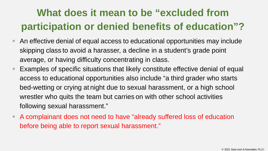# **What does it mean to be "excluded from participation or denied benefits of education"?**

- An effective denial of equal access to educational opportunities may include skipping class to avoid a harasser, a decline in a student's grade point average, or having difficulty concentrating in class.
- Examples of specific situations that likely constitute effective denial of equal access to educational opportunities also include "a third grader who starts bed-wetting or crying at night due to sexual harassment, or a high school wrestler who quits the team but carries on with other school activities following sexual harassment."
- A complainant does not need to have "already suffered loss of education before being able to report sexual harassment."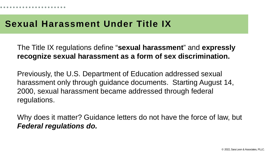## **Sexual Harassment Under Title IX**

The Title IX regulations define "**sexual harassment**" and **expressly recognize sexual harassment as a form of sex discrimination.** 

Previously, the U.S. Department of Education addressed sexual harassment only through guidance documents. Starting August 14, 2000, sexual harassment became addressed through federal regulations.

Why does it matter? Guidance letters do not have the force of law, but *Federal regulations do.*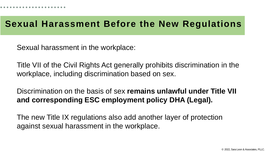## **Sexual Harassment Before the New Regulations**

Sexual harassment in the workplace:

Title VII of the Civil Rights Act generally prohibits discrimination in the workplace, including discrimination based on sex.

Discrimination on the basis of sex **remains unlawful under Title VII and corresponding ESC employment policy DHA (Legal).**

The new Title IX regulations also add another layer of protection against sexual harassment in the workplace.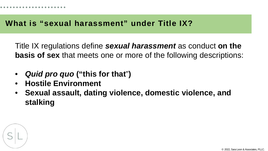Title IX regulations define *sexual harassment* as conduct **on the basis of sex** that meets one or more of the following descriptions:

- *Quid pro quo* **("this for that**"**)**
- **Hostile Environment**
- **Sexual assault, dating violence, domestic violence, and stalking**

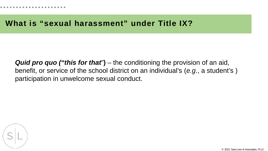*Quid pro quo ("this for that*"**)** – the conditioning the provision of an aid, benefit, or service of the school district on an individual's (*e.g*., a student's ) participation in unwelcome sexual conduct.



© 2022, Sara Leon & Associates, PLLC.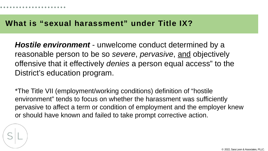*Hostile environment* - unwelcome conduct determined by a reasonable person to be so *severe*, *pervasive*, and objectively offensive that it effectively *denies* a person equal access" to the District's education program.

\*The Title VII (employment/working conditions) definition of "hostile environment" tends to focus on whether the harassment was sufficiently pervasive to affect a term or condition of employment and the employer knew or should have known and failed to take prompt corrective action.

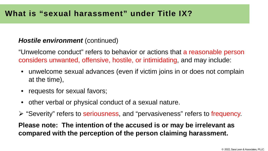#### *Hostile environment (continued)*

"Unwelcome conduct" refers to behavior or actions that a reasonable person considers unwanted, offensive, hostile, or intimidating, and may include:

- unwelcome sexual advances (even if victim joins in or does not complain at the time),
- requests for sexual favors;
- other verbal or physical conduct of a sexual nature.
- ► "Severity" refers to seriousness, and "pervasiveness" refers to frequency.

**Please note: The intention of the accused is or may be irrelevant as compared with the perception of the person claiming harassment.**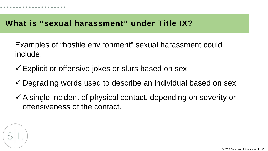Examples of "hostile environment" sexual harassment could include:

- Explicit or offensive jokes or slurs based on sex;
- $\checkmark$  Degrading words used to describe an individual based on sex;
- $\checkmark$  A single incident of physical contact, depending on severity or offensiveness of the contact.

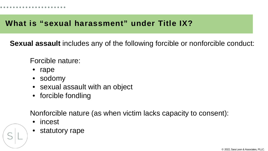**Sexual assault** includes any of the following forcible or nonforcible conduct:

Forcible nature:

- rape
- sodomy
- sexual assault with an object
- forcible fondling

Nonforcible nature (as when victim lacks capacity to consent):

- incest
- statutory rape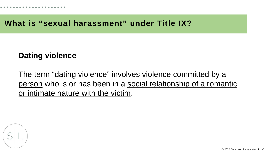## **Dating violence**

The term "dating violence" involves violence committed by a person who is or has been in a social relationship of a romantic or intimate nature with the victim.



© 2022, Sara Leon & Associates, PLLC.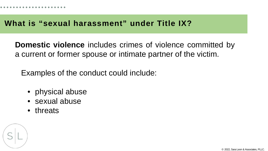**Domestic violence** includes crimes of violence committed by a current or former spouse or intimate partner of the victim.

Examples of the conduct could include:

- physical abuse
- sexual abuse
- threats

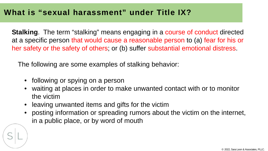**Stalking**. The term "stalking" means engaging in a course of conduct directed at a specific person that would cause a reasonable person to (a) fear for his or her safety or the safety of others; or (b) suffer substantial emotional distress.

The following are some examples of stalking behavior:

- following or spying on a person
- waiting at places in order to make unwanted contact with or to monitor the victim
- leaving unwanted items and gifts for the victim
- posting information or spreading rumors about the victim on the internet, in a public place, or by word of mouth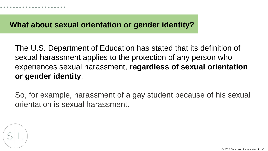#### **What about sexual orientation or gender identity?**

The U.S. Department of Education has stated that its definition of sexual harassment applies to the protection of any person who experiences sexual harassment, **regardless of sexual orientation or gender identity**.

So, for example, harassment of a gay student because of his sexual orientation is sexual harassment.

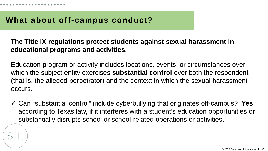#### **What about off-campus conduct?**

#### **The Title IX regulations protect students against sexual harassment in educational programs and activities.**

Education program or activity includes locations, events, or circumstances over which the subject entity exercises **substantial control** over both the respondent (that is, the alleged perpetrator) and the context in which the sexual harassment occurs.

 Can "substantial control" include cyberbullying that originates off-campus? **Yes**, according to Texas law, if it interferes with a student's education opportunities or substantially disrupts school or school-related operations or activities.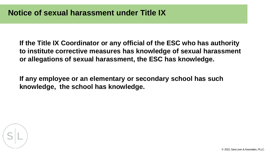**If the Title IX Coordinator or any official of the ESC who has authority to institute corrective measures has knowledge of sexual harassment or allegations of sexual harassment, the ESC has knowledge.**

**If any employee or an elementary or secondary school has such knowledge, the school has knowledge.**

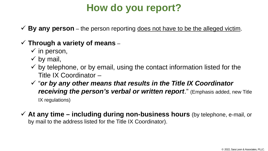## **How do you report?**

**By any person** – the person reporting does not have to be the alleged victim.

#### **Through a variety of means** –

- $\checkmark$  in person,
- $\checkmark$  by mail,
- $\checkmark$  by telephone, or by email, using the contact information listed for the Title IX Coordinator –
- "*or by any other means that results in the Title IX Coordinator receiving the person's verbal or written report*." (Emphasis added, new Title IX regulations)
- **At any time – including during non-business hours** (by telephone, e-mail, or by mail to the address listed for the Title IX Coordinator).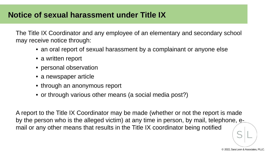### **Notice of sexual harassment under Title IX**

The Title IX Coordinator and any employee of an elementary and secondary school may receive notice through:

- an oral report of sexual harassment by a complainant or anyone else
- a written report
- personal observation
- a newspaper article
- through an anonymous report
- or through various other means (a social media post?)

A report to the Title IX Coordinator may be made (whether or not the report is made by the person who is the alleged victim) at any time in person, by mail, telephone, email or any other means that results in the Title IX coordinator being notified

© 2022, Sara Leon & Associates, PLLC.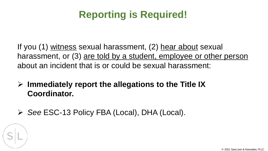## **Reporting is Required!**

If you (1) witness sexual harassment, (2) hear about sexual harassment, or (3) are told by a student, employee or other person about an incident that is or could be sexual harassment:

- **Immediately report the allegations to the Title IX Coordinator.**
- *See* ESC-13 Policy FBA (Local), DHA (Local).

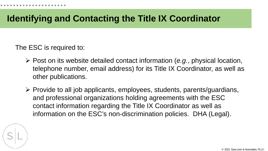## **Identifying and Contacting the Title IX Coordinator**

The ESC is required to:

- Post on its website detailed contact information (*e.g.*, physical location, telephone number, email address) for its Title IX Coordinator, as well as other publications.
- $\triangleright$  Provide to all job applicants, employees, students, parents/guardians, and professional organizations holding agreements with the ESC contact information regarding the Title IX Coordinator as well as information on the ESC's non-discrimination policies. DHA (Legal).

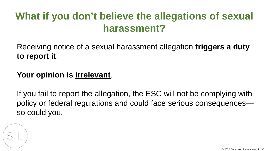## **What if you don't believe the allegations of sexual harassment?**

Receiving notice of a sexual harassment allegation **triggers a duty to report it**.

## Your opinion is **irrelevant**.

If you fail to report the allegation, the ESC will not be complying with policy or federal regulations and could face serious consequences so could you.

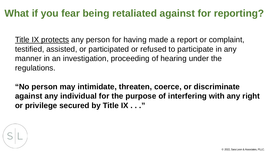## **What if you fear being retaliated against for reporting?**

Title IX protects any person for having made a report or complaint, testified, assisted, or participated or refused to participate in any manner in an investigation, proceeding of hearing under the regulations.

**"No person may intimidate, threaten, coerce, or discriminate against any individual for the purpose of interfering with any right or privilege secured by Title IX . . ."**

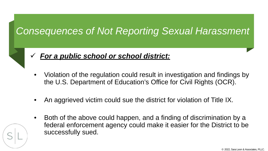## *Consequences of Not Reporting Sexual Harassment*



- *For a public school or school district:*
- Violation of the regulation could result in investigation and findings by the U.S. Department of Education's Office for Civil Rights (OCR).
- An aggrieved victim could sue the district for violation of Title IX.
- Both of the above could happen, and a finding of discrimination by a federal enforcement agency could make it easier for the District to be successfully sued.

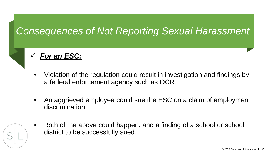## *Consequences of Not Reporting Sexual Harassment*



### *For an ESC:*

- Violation of the regulation could result in investigation and findings by a federal enforcement agency such as OCR.
- An aggrieved employee could sue the ESC on a claim of employment discrimination.
- Both of the above could happen, and a finding of a school or school district to be successfully sued.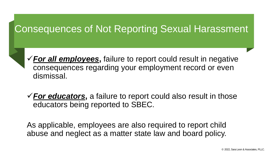## Consequences of Not Reporting Sexual Harassment

*For all employees***,** failure to report could result in negative consequences regarding your employment record or even dismissal.

*For educators***,** a failure to report could also result in those educators being reported to SBEC.

As applicable, employees are also required to report child abuse and neglect as a matter state law and board policy.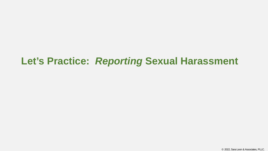## **Let's Practice:** *Reporting* **Sexual Harassment**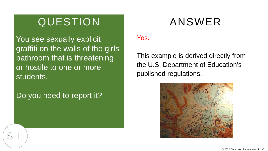You see sexually explicit graffiti on the walls of the girls' bathroom that is threatening or hostile to one or more students.

Do you need to report it?

#### Yes.

This example is derived directly from the U.S. Department of Education's published regulations.

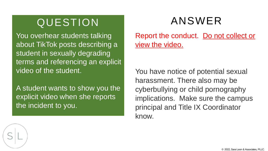You overhear students talking about TikTok posts describing a student in sexually degrading terms and referencing an explicit video of the student.

A student wants to show you the explicit video when she reports the incident to you.

Report the conduct. Do not collect or view the video.

You have notice of potential sexual harassment. There also may be cyberbullying or child pornography implications. Make sure the campus principal and Title IX Coordinator know.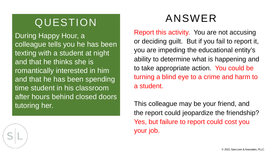During Happy Hour, a colleague tells you he has been texting with a student at night and that he thinks she is romantically interested in him and that he has been spending time student in his classroom after hours behind closed doors tutoring her.

Report this activity. You are not accusing or deciding guilt. But if you fail to report it, you are impeding the educational entity's ability to determine what is happening and to take appropriate action. You could be turning a blind eye to a crime and harm to a student.

This colleague may be your friend, and the report could jeopardize the friendship? Yes, but failure to report could cost you your job.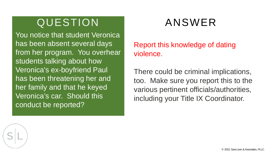You notice that student Veronica has been absent several days from her program. You overhear students talking about how Veronica's ex-boyfriend Paul has been threatening her and her family and that he keyed Veronica's car. Should this conduct be reported?

Report this knowledge of dating violence.

There could be criminal implications, too. Make sure you report this to the various pertinent officials/authorities, including your Title IX Coordinator.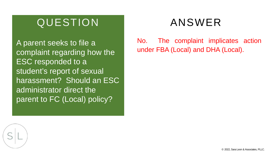complaint regarding how the ESC responded to a student's report of sexual harassment? Should an ESC administrator direct the parent to FC (Local) policy?

No. The complaint implicates action A parent seeks to file a<br>Complaint regarding how the **under FBA (Local) and DHA (Local)**.

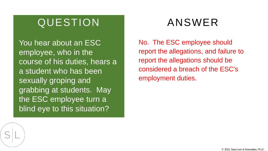You hear about an ESC employee, who in the course of his duties, hears a a student who has been sexually groping and grabbing at students. May the ESC employee turn a blind eye to this situation?

No. The ESC employee should report the allegations, and failure to report the allegations should be considered a breach of the ESC's employment duties.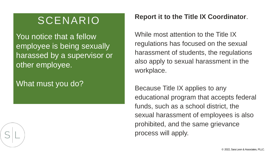## SCENARIO

You notice that a fellow employee is being sexually harassed by a supervisor or other employee.

## What must you do?

#### **Report it to the Title IX Coordinator**.

While most attention to the Title IX regulations has focused on the sexual harassment of students, the regulations also apply to sexual harassment in the workplace.

Because Title IX applies to any educational program that accepts federal funds, such as a school district, the sexual harassment of employees is also prohibited, and the same grievance process will apply.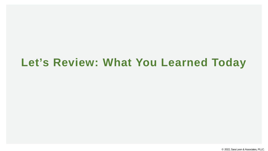## **Let's Review: What You Learned Today**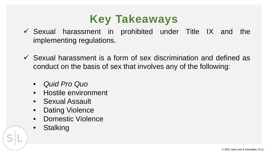# **Key Takeaways**

- $\checkmark$  Sexual harassment in prohibited under Title IX and the implementing regulations.
- $\checkmark$  Sexual harassment is a form of sex discrimination and defined as conduct on the basis of sex that involves any of the following:
	- *Quid Pro Quo*
	- Hostile environment
	- Sexual Assault
	- Dating Violence
	- Domestic Violence
	- **Stalking**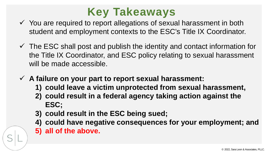

- $\checkmark$  You are required to report allegations of sexual harassment in both student and employment contexts to the ESC's Title IX Coordinator.
- $\checkmark$  The ESC shall post and publish the identity and contact information for the Title IX Coordinator, and ESC policy relating to sexual harassment will be made accessible.
- **A failure on your part to report sexual harassment:**
	- **1) could leave a victim unprotected from sexual harassment,**
	- **2) could result in a federal agency taking action against the ESC;**
	- **3) could result in the ESC being sued;**
	- **4) could have negative consequences for your employment; and 5) all of the above.**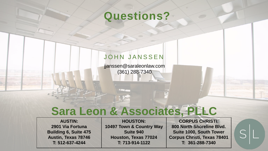## **Questions?**

#### JOHN JANSSEN

jjanssen@saraleonlaw.com (361) 288-7340

# **Sara Leon & Associates, PLLC**

**AUSTIN: 2901 Via Fortuna Building 6, Suite 475 Austin, Texas 78746 T: 512-637-4244**

**HOUSTON: 10497 Town & Country Way Suite 940 Houston, Texas 77024 T: 713-914-1122**

**CORPUS CHRISTI: 800 North Shoreline Blvd. Suite 1000, South Tower Corpus Christi, Texas 78401 T: 361-288-7340**

 $S|L$